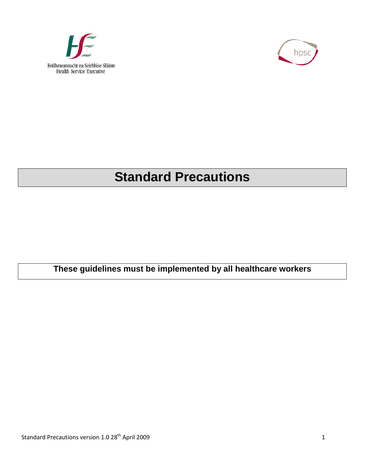



# **Standard Precautions**

**These guidelines must be implemented by all healthcare workers**

Standard Precautions version 1.0 28<sup>th</sup> April 2009 1 1 2009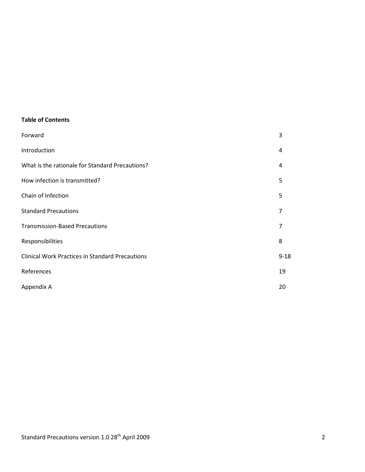#### **Table of Contents**

| Forward                                                | 3        |
|--------------------------------------------------------|----------|
| Introduction                                           | 4        |
| What is the rationale for Standard Precautions?        | 4        |
| How infection is transmitted?                          | 5        |
| Chain of Infection                                     | 5        |
| <b>Standard Precautions</b>                            | 7        |
| <b>Transmission-Based Precautions</b>                  | 7        |
| Responsibilities                                       | 8        |
| <b>Clinical Work Practices in Standard Precautions</b> | $9 - 18$ |
| References                                             | 19       |
| Appendix A                                             | 20       |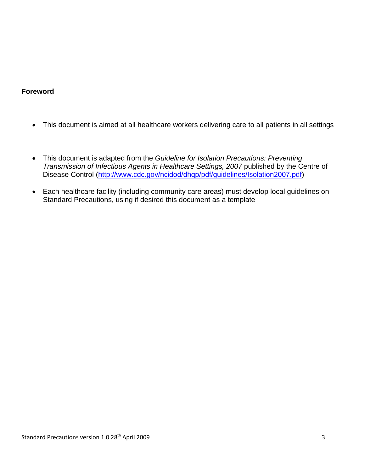#### **Foreword**

- This document is aimed at all healthcare workers delivering care to all patients in all settings
- This document is adapted from the *Guideline for Isolation Precautions: Preventing Transmission of Infectious Agents in Healthcare Settings, 2007* published by the Centre of Disease Control [\(http://www.cdc.gov/ncidod/dhqp/pdf/guidelines/Isolation2007.pdf\)](http://www.cdc.gov/ncidod/dhqp/pdf/guidelines/Isolation2007.pdf)
- Each healthcare facility (including community care areas) must develop local guidelines on Standard Precautions, using if desired this document as a template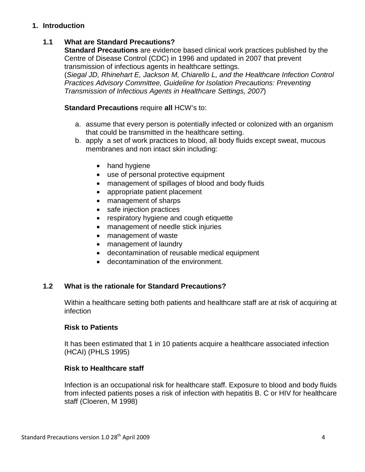## **1. Introduction**

## **1.1 What are Standard Precautions?**

**Standard Precautions** are evidence based clinical work practices published by the Centre of Disease Control (CDC) in 1996 and updated in 2007 that prevent transmission of infectious agents in healthcare settings. (*Siegal JD, Rhinehart E, Jackson M, Chiarello L, and the Healthcare Infection Control Practices Advisory Committee, Guideline for Isolation Precautions: Preventing Transmission of Infectious Agents in Healthcare Settings, 2007*)

#### **Standard Precautions** require **all** HCW's to:

- a. assume that every person is potentially infected or colonized with an organism that could be transmitted in the healthcare setting.
- b. apply a set of work practices to blood, all body fluids except sweat, mucous membranes and non intact skin including:
	- hand hygiene
	- use of personal protective equipment
	- management of spillages of blood and body fluids
	- appropriate patient placement
	- management of sharps
	- safe injection practices
	- respiratory hygiene and cough etiquette
	- management of needle stick injuries
	- management of waste
	- management of laundry
	- decontamination of reusable medical equipment
	- decontamination of the environment.

#### **1.2 What is the rationale for Standard Precautions?**

Within a healthcare setting both patients and healthcare staff are at risk of acquiring at infection

#### **Risk to Patients**

It has been estimated that 1 in 10 patients acquire a healthcare associated infection (HCAI) (PHLS 1995)

#### **Risk to Healthcare staff**

Infection is an occupational risk for healthcare staff. Exposure to blood and body fluids from infected patients poses a risk of infection with hepatitis B. C or HIV for healthcare staff (Cloeren, M 1998)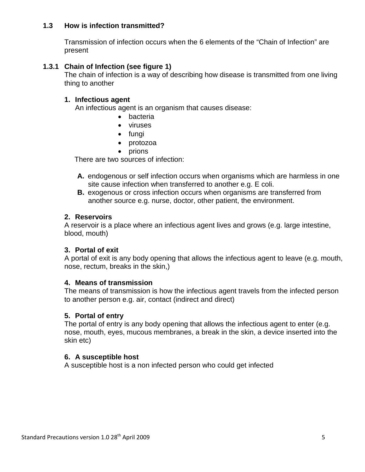## **1.3 How is infection transmitted?**

Transmission of infection occurs when the 6 elements of the "Chain of Infection" are present

## **1.3.1 Chain of Infection (see figure 1)**

The chain of infection is a way of describing how disease is transmitted from one living thing to another

### **1. Infectious agent**

An infectious agent is an organism that causes disease:

- bacteria
- viruses
- fungi
- protozoa
- prions

There are two sources of infection:

- **A.** endogenous or self infection occurs when organisms which are harmless in one site cause infection when transferred to another e.g. E coli.
- **B.** exogenous or cross infection occurs when organisms are transferred from another source e.g. nurse, doctor, other patient, the environment.

## **2. Reservoirs**

A reservoir is a place where an infectious agent lives and grows (e.g. large intestine, blood, mouth)

#### **3. Portal of exit**

A portal of exit is any body opening that allows the infectious agent to leave (e.g. mouth, nose, rectum, breaks in the skin,)

#### **4. Means of transmission**

The means of transmission is how the infectious agent travels from the infected person to another person e.g. air, contact (indirect and direct)

#### **5. Portal of entry**

The portal of entry is any body opening that allows the infectious agent to enter (e.g. nose, mouth, eyes, mucous membranes, a break in the skin, a device inserted into the skin etc)

#### **6. A susceptible host**

A susceptible host is a non infected person who could get infected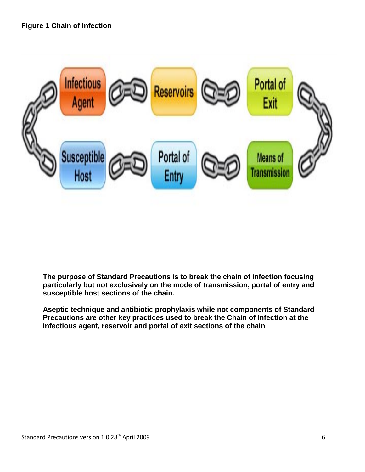

**The purpose of Standard Precautions is to break the chain of infection focusing particularly but not exclusively on the mode of transmission, portal of entry and susceptible host sections of the chain.** 

**Aseptic technique and antibiotic prophylaxis while not components of Standard Precautions are other key practices used to break the Chain of Infection at the infectious agent, reservoir and portal of exit sections of the chain**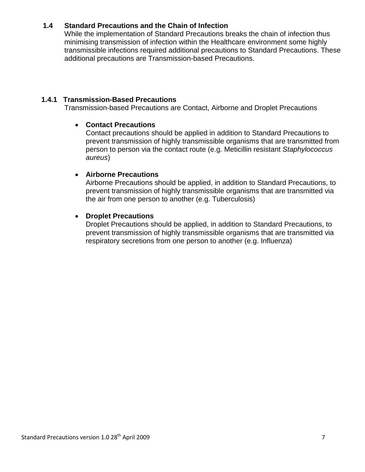# **1.4 Standard Precautions and the Chain of Infection**

While the implementation of Standard Precautions breaks the chain of infection thus minimising transmission of infection within the Healthcare environment some highly transmissible infections required additional precautions to Standard Precautions. These additional precautions are Transmission-based Precautions.

### **1.4.1 Transmission-Based Precautions**

Transmission-based Precautions are Contact, Airborne and Droplet Precautions

## • **Contact Precautions**

Contact precautions should be applied in addition to Standard Precautions to prevent transmission of highly transmissible organisms that are transmitted from person to person via the contact route (e.g. Meticillin resistant *Staphylococcus aureus*)

## • **Airborne Precautions**

Airborne Precautions should be applied, in addition to Standard Precautions, to prevent transmission of highly transmissible organisms that are transmitted via the air from one person to another (e.g. Tuberculosis)

## • **Droplet Precautions**

Droplet Precautions should be applied, in addition to Standard Precautions, to prevent transmission of highly transmissible organisms that are transmitted via respiratory secretions from one person to another (e.g. Influenza)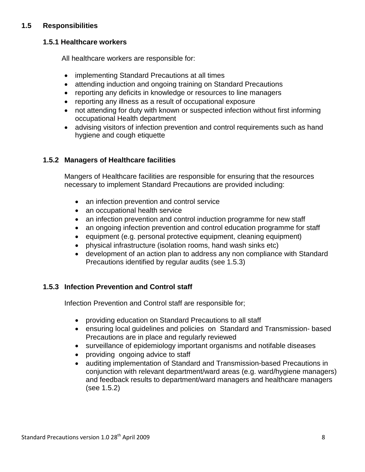# **1.5 Responsibilities**

### **1.5.1 Healthcare workers**

All healthcare workers are responsible for:

- implementing Standard Precautions at all times
- attending induction and ongoing training on Standard Precautions
- reporting any deficits in knowledge or resources to line managers
- reporting any illness as a result of occupational exposure
- not attending for duty with known or suspected infection without first informing occupational Health department
- advising visitors of infection prevention and control requirements such as hand hygiene and cough etiquette

# **1.5.2 Managers of Healthcare facilities**

Mangers of Healthcare facilities are responsible for ensuring that the resources necessary to implement Standard Precautions are provided including:

- an infection prevention and control service
- an occupational health service
- an infection prevention and control induction programme for new staff
- an ongoing infection prevention and control education programme for staff
- equipment (e.g. personal protective equipment, cleaning equipment)
- physical infrastructure (isolation rooms, hand wash sinks etc)
- development of an action plan to address any non compliance with Standard Precautions identified by regular audits (see 1.5.3)

# **1.5.3 Infection Prevention and Control staff**

Infection Prevention and Control staff are responsible for;

- providing education on Standard Precautions to all staff
- ensuring local guidelines and policies on Standard and Transmission- based Precautions are in place and regularly reviewed
- surveillance of epidemiology important organisms and notifable diseases
- providing ongoing advice to staff
- auditing implementation of Standard and Transmission-based Precautions in conjunction with relevant department/ward areas (e.g. ward/hygiene managers) and feedback results to department/ward managers and healthcare managers (see 1.5.2)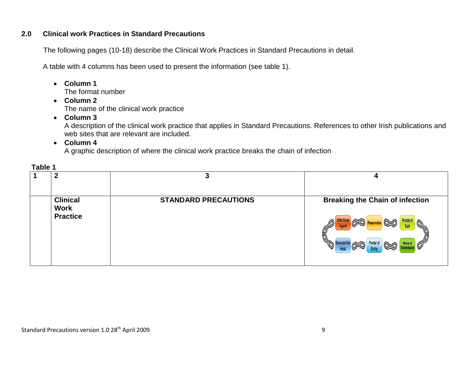#### **2.0 Clinical work Practices in Standard Precautions**

The following pages (10-18) describe the Clinical Work Practices in Standard Precautions in detail.

A table with 4 columns has been used to present the information (see table 1).

- **Column 1** The format number
- **Column 2**  The name of the clinical work practice
- **Column 3**

A description of the clinical work practice that applies in Standard Precautions. References to other Irish publications and web sites that are relevant are included.

• **Column 4**

A graphic description of where the clinical work practice breaks the chain of infection

|                                                   | ≏                           |                                                                                                                                                                                           |
|---------------------------------------------------|-----------------------------|-------------------------------------------------------------------------------------------------------------------------------------------------------------------------------------------|
| <b>Clinical</b><br><b>Work</b><br><b>Practice</b> | <b>STANDARD PRECAUTIONS</b> | <b>Breaking the Chain of infection</b><br>Portal of<br>Exit<br>$\mathscr{O}'$<br>$\widehat{\mathscr{D}}$<br>Portal of<br><b>Means of</b><br><b>Susceptible</b><br>$\widehat{A-D}$<br>Entr |

## **Table 1**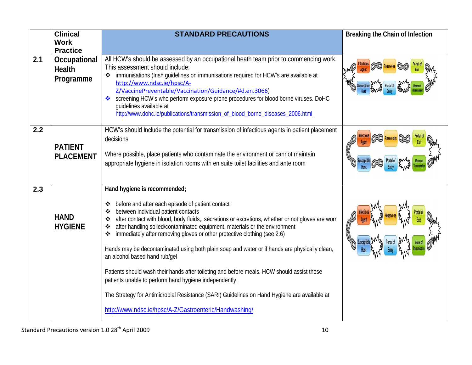| <b>Clinical</b>                            | <b>STANDARD PRECAUTIONS</b>                                                                                                                                                                                                                                                                                                                                                                                                                                                                                                                                                                                                                                                                                                                                                                                                                                        | Breaking the Chain of Infection |
|--------------------------------------------|--------------------------------------------------------------------------------------------------------------------------------------------------------------------------------------------------------------------------------------------------------------------------------------------------------------------------------------------------------------------------------------------------------------------------------------------------------------------------------------------------------------------------------------------------------------------------------------------------------------------------------------------------------------------------------------------------------------------------------------------------------------------------------------------------------------------------------------------------------------------|---------------------------------|
| <b>Practice</b>                            |                                                                                                                                                                                                                                                                                                                                                                                                                                                                                                                                                                                                                                                                                                                                                                                                                                                                    |                                 |
| Occupational<br><b>Health</b><br>Programme | All HCW's should be assessed by an occupational heath team prior to commencing work.<br>This assessment should include:<br>immunisations (Irish guidelines on immunisations required for HCW's are available at<br>http://www.ndsc.ie/hpsc/A-<br>Z/VaccinePreventable/Vaccination/Guidance/#d.en.3066)<br>screening HCW's who perform exposure prone procedures for blood borne viruses. DoHC<br>quidelines available at<br>http://www.dohc.ie/publications/transmission_of_blood_borne_diseases_2006.html                                                                                                                                                                                                                                                                                                                                                         |                                 |
| <b>PATIENT</b><br><b>PLACEMENT</b>         | HCW's should include the potential for transmission of infectious agents in patient placement<br>decisions<br>Where possible, place patients who contaminate the environment or cannot maintain<br>appropriate hygiene in isolation rooms with en suite toilet facilities and ante room                                                                                                                                                                                                                                                                                                                                                                                                                                                                                                                                                                            |                                 |
| <b>HAND</b><br><b>HYGIENE</b>              | Hand hygiene is recommended;<br>before and after each episode of patient contact<br>❖<br>between individual patient contacts<br>❖<br>after contact with blood, body fluids,, secretions or excretions, whether or not gloves are worn<br>❖<br>after handling soiled/contaminated equipment, materials or the environment<br>❖<br>immediately after removing gloves or other protective clothing (see 2.6)<br>❖<br>Hands may be decontaminated using both plain soap and water or if hands are physically clean,<br>an alcohol based hand rub/gel<br>Patients should wash their hands after toileting and before meals. HCW should assist those<br>patients unable to perform hand hygiene independently.<br>The Strategy for Antimicrobial Resistance (SARI) Guidelines on Hand Hygiene are available at<br>http://www.ndsc.ie/hpsc/A-Z/Gastroenteric/Handwashing/ |                                 |
|                                            | <b>Work</b>                                                                                                                                                                                                                                                                                                                                                                                                                                                                                                                                                                                                                                                                                                                                                                                                                                                        |                                 |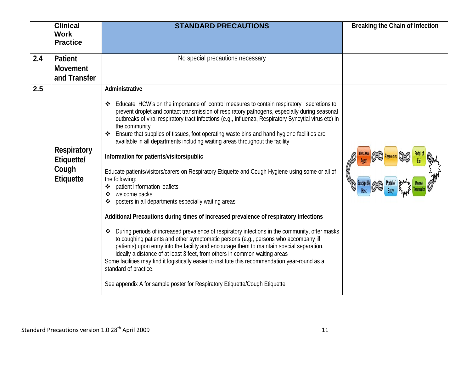|     | <b>Clinical</b>                                               | <b>STANDARD PRECAUTIONS</b>                                                                                                                                                                                                                                                                                                                                                                                                                                                                                                                                                                                                                                                                                                                                                                                                                                                                                                                                                                                                                                                                                                                                                                                                                                                                                                                                                                                                                                                             | Breaking the Chain of Infection |
|-----|---------------------------------------------------------------|-----------------------------------------------------------------------------------------------------------------------------------------------------------------------------------------------------------------------------------------------------------------------------------------------------------------------------------------------------------------------------------------------------------------------------------------------------------------------------------------------------------------------------------------------------------------------------------------------------------------------------------------------------------------------------------------------------------------------------------------------------------------------------------------------------------------------------------------------------------------------------------------------------------------------------------------------------------------------------------------------------------------------------------------------------------------------------------------------------------------------------------------------------------------------------------------------------------------------------------------------------------------------------------------------------------------------------------------------------------------------------------------------------------------------------------------------------------------------------------------|---------------------------------|
|     | <b>Work</b><br><b>Practice</b>                                |                                                                                                                                                                                                                                                                                                                                                                                                                                                                                                                                                                                                                                                                                                                                                                                                                                                                                                                                                                                                                                                                                                                                                                                                                                                                                                                                                                                                                                                                                         |                                 |
|     |                                                               |                                                                                                                                                                                                                                                                                                                                                                                                                                                                                                                                                                                                                                                                                                                                                                                                                                                                                                                                                                                                                                                                                                                                                                                                                                                                                                                                                                                                                                                                                         |                                 |
| 2.4 | Patient                                                       | No special precautions necessary                                                                                                                                                                                                                                                                                                                                                                                                                                                                                                                                                                                                                                                                                                                                                                                                                                                                                                                                                                                                                                                                                                                                                                                                                                                                                                                                                                                                                                                        |                                 |
|     | <b>Movement</b>                                               |                                                                                                                                                                                                                                                                                                                                                                                                                                                                                                                                                                                                                                                                                                                                                                                                                                                                                                                                                                                                                                                                                                                                                                                                                                                                                                                                                                                                                                                                                         |                                 |
|     | and Transfer                                                  |                                                                                                                                                                                                                                                                                                                                                                                                                                                                                                                                                                                                                                                                                                                                                                                                                                                                                                                                                                                                                                                                                                                                                                                                                                                                                                                                                                                                                                                                                         |                                 |
| 2.5 | <b>Respiratory</b><br>Etiquette/<br>Cough<br><b>Etiquette</b> | Administrative<br>❖ Educate HCW's on the importance of control measures to contain respiratory secretions to<br>prevent droplet and contact transmission of respiratory pathogens, especially during seasonal<br>outbreaks of viral respiratory tract infections (e.g., influenza, Respiratory Syncytial virus etc) in<br>the community<br>Ensure that supplies of tissues, foot operating waste bins and hand hygiene facilities are<br>❖<br>available in all departments including waiting areas throughout the facility<br>Information for patients/visitors/public<br>Educate patients/visitors/carers on Respiratory Etiquette and Cough Hygiene using some or all of<br>the following:<br>❖ patient information leaflets<br>❖ welcome packs<br>posters in all departments especially waiting areas<br>❖<br>Additional Precautions during times of increased prevalence of respiratory infections<br>❖ During periods of increased prevalence of respiratory infections in the community, offer masks<br>to coughing patients and other symptomatic persons (e.g., persons who accompany ill<br>patients) upon entry into the facility and encourage them to maintain special separation,<br>ideally a distance of at least 3 feet, from others in common waiting areas<br>Some facilities may find it logistically easier to institute this recommendation year-round as a<br>standard of practice.<br>See appendix A for sample poster for Respiratory Etiquette/Cough Etiquette |                                 |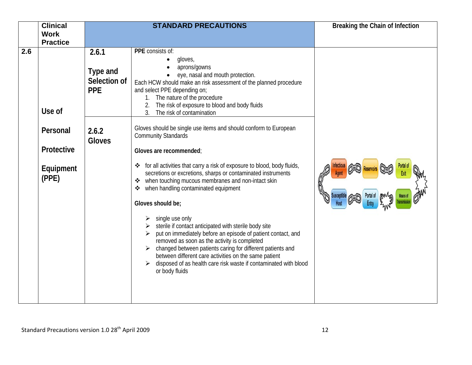|     | <b>Clinical</b>                                      |                                                          | <b>STANDARD PRECAUTIONS</b>                                                                                                                                                                                                                                                                                                                                                                                                                                                                                                                                                                                                                                                                                                                                | Breaking the Chain of Infection |
|-----|------------------------------------------------------|----------------------------------------------------------|------------------------------------------------------------------------------------------------------------------------------------------------------------------------------------------------------------------------------------------------------------------------------------------------------------------------------------------------------------------------------------------------------------------------------------------------------------------------------------------------------------------------------------------------------------------------------------------------------------------------------------------------------------------------------------------------------------------------------------------------------------|---------------------------------|
|     |                                                      |                                                          |                                                                                                                                                                                                                                                                                                                                                                                                                                                                                                                                                                                                                                                                                                                                                            |                                 |
| 2.6 | <b>Work</b><br><b>Practice</b><br>Use of<br>Personal | 2.6.1<br>Type and<br>Selection of<br><b>PPE</b><br>2.6.2 | PPE consists of:<br>gloves,<br>aprons/gowns<br>eye, nasal and mouth protection.<br>Each HCW should make an risk assessment of the planned procedure<br>and select PPE depending on;<br>1. The nature of the procedure<br>The risk of exposure to blood and body fluids<br>3 <sub>1</sub><br>The risk of contamination<br>Gloves should be single use items and should conform to European<br><b>Community Standards</b>                                                                                                                                                                                                                                                                                                                                    |                                 |
|     | Protective<br>Equipment<br>(PPE)                     | <b>Gloves</b>                                            | Gloves are recommended;<br>for all activities that carry a risk of exposure to blood, body fluids,<br>❖<br>secretions or excretions, sharps or contaminated instruments<br>when touching mucous membranes and non-intact skin<br>when handling contaminated equipment<br>❖<br>Gloves should be;<br>single use only<br>sterile if contact anticipated with sterile body site<br>put on immediately before an episode of patient contact, and<br>removed as soon as the activity is completed<br>changed between patients caring for different patients and<br>$\blacktriangleright$<br>between different care activities on the same patient<br>disposed of as health care risk waste if contaminated with blood<br>$\blacktriangleright$<br>or body fluids |                                 |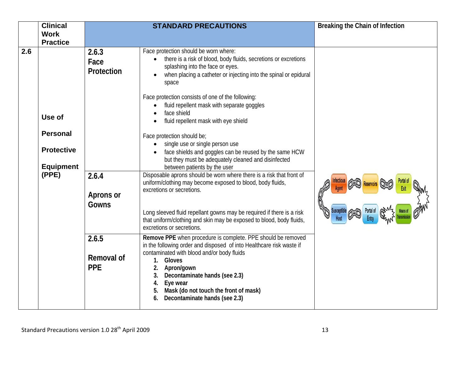|     | <b>Clinical</b>   |                                   | <b>STANDARD PRECAUTIONS</b>                                                                                                                                                                                                                                                                                                                                           | Breaking the Chain of Infection |
|-----|-------------------|-----------------------------------|-----------------------------------------------------------------------------------------------------------------------------------------------------------------------------------------------------------------------------------------------------------------------------------------------------------------------------------------------------------------------|---------------------------------|
|     | <b>Work</b>       |                                   |                                                                                                                                                                                                                                                                                                                                                                       |                                 |
|     | <b>Practice</b>   |                                   |                                                                                                                                                                                                                                                                                                                                                                       |                                 |
| 2.6 |                   | 2.6.3<br>Face<br>Protection       | Face protection should be worn where:<br>there is a risk of blood, body fluids, secretions or excretions<br>splashing into the face or eyes.<br>when placing a catheter or injecting into the spinal or epidural<br>space                                                                                                                                             |                                 |
|     | Use of            |                                   | Face protection consists of one of the following:<br>fluid repellent mask with separate goggles<br>face shield<br>fluid repellent mask with eye shield                                                                                                                                                                                                                |                                 |
|     | <b>Personal</b>   |                                   | Face protection should be;                                                                                                                                                                                                                                                                                                                                            |                                 |
|     | <b>Protective</b> |                                   | single use or single person use<br>face shields and goggles can be reused by the same HCW<br>but they must be adequately cleaned and disinfected                                                                                                                                                                                                                      |                                 |
|     | <b>Equipment</b>  |                                   | between patients by the user                                                                                                                                                                                                                                                                                                                                          |                                 |
|     | (PPE)             | 2.6.4<br>Aprons or<br>Gowns       | Disposable aprons should be worn where there is a risk that front of<br>uniform/clothing may become exposed to blood, body fluids,<br>excretions or secretions.<br>Long sleeved fluid repellant gowns may be required if there is a risk<br>that uniform/clothing and skin may be exposed to blood, body fluids,<br>excretions or secretions.                         |                                 |
|     |                   | 2.6.5<br>Removal of<br><b>PPE</b> | Remove PPE when procedure is complete. PPE should be removed<br>in the following order and disposed of into Healthcare risk waste if<br>contaminated with blood and/or body fluids<br>Gloves<br>1.<br>Apron/gown<br>2.<br>Decontaminate hands (see 2.3)<br>3.<br>4.<br>Eye wear<br>Mask (do not touch the front of mask)<br>5.<br>Decontaminate hands (see 2.3)<br>6. |                                 |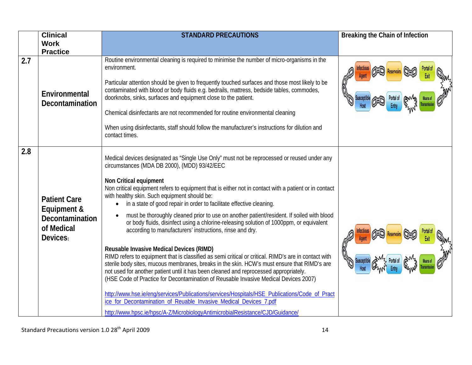|     | <b>Clinical</b>                                                                 | <b>STANDARD PRECAUTIONS</b>                                                                                                                                                                                                                                                                                                                                                                                                                                                                                                                                                                                                                                                                                                                                                                                                                                                                                                                                                                                                                                                                                                                                                                                                                                                                                                                                               | Breaking the Chain of Infection |
|-----|---------------------------------------------------------------------------------|---------------------------------------------------------------------------------------------------------------------------------------------------------------------------------------------------------------------------------------------------------------------------------------------------------------------------------------------------------------------------------------------------------------------------------------------------------------------------------------------------------------------------------------------------------------------------------------------------------------------------------------------------------------------------------------------------------------------------------------------------------------------------------------------------------------------------------------------------------------------------------------------------------------------------------------------------------------------------------------------------------------------------------------------------------------------------------------------------------------------------------------------------------------------------------------------------------------------------------------------------------------------------------------------------------------------------------------------------------------------------|---------------------------------|
|     | <b>Work</b>                                                                     |                                                                                                                                                                                                                                                                                                                                                                                                                                                                                                                                                                                                                                                                                                                                                                                                                                                                                                                                                                                                                                                                                                                                                                                                                                                                                                                                                                           |                                 |
|     | <b>Practice</b>                                                                 |                                                                                                                                                                                                                                                                                                                                                                                                                                                                                                                                                                                                                                                                                                                                                                                                                                                                                                                                                                                                                                                                                                                                                                                                                                                                                                                                                                           |                                 |
| 2.7 | Environmental<br><b>Decontamination</b>                                         | Routine environmental cleaning is required to minimise the number of micro-organisms in the<br>environment.<br>Particular attention should be given to frequently touched surfaces and those most likely to be<br>contaminated with blood or body fluids e.g. bedrails, mattress, bedside tables, commodes,<br>doorknobs, sinks, surfaces and equipment close to the patient.<br>Chemical disinfectants are not recommended for routine environmental cleaning<br>When using disinfectants, staff should follow the manufacturer's instructions for dilution and<br>contact times.                                                                                                                                                                                                                                                                                                                                                                                                                                                                                                                                                                                                                                                                                                                                                                                        |                                 |
| 2.8 | <b>Patient Care</b><br>Equipment &<br>Decontamination<br>of Medical<br>Devices: | Medical devices designated as "Single Use Only" must not be reprocessed or reused under any<br>circumstances (MDA DB 2000), (MDD) 93/42/EEC<br>Non Critical equipment<br>Non critical equipment refers to equipment that is either not in contact with a patient or in contact<br>with healthy skin. Such equipment should be:<br>in a state of good repair in order to facilitate effective cleaning.<br>$\bullet$<br>must be thoroughly cleaned prior to use on another patient/resident. If soiled with blood<br>or body fluids, disinfect using a chlorine-releasing solution of 1000ppm, or equivalent<br>according to manufacturers' instructions, rinse and dry.<br><b>Reusable Invasive Medical Devices (RIMD)</b><br>RIMD refers to equipment that is classified as semi critical or critical. RIMD's are in contact with<br>sterile body sites, mucous membranes, breaks in the skin. HCW's must ensure that RIMD's are<br>not used for another patient until it has been cleaned and reprocessed appropriately.<br>(HSE Code of Practice for Decontamination of Reusable Invasive Medical Devices 2007)<br>http://www.hse.ie/eng/services/Publications/services/Hospitals/HSE_Publications/Code_of_Pract<br>ice_for_Decontamination_of_Reuable_Invasive_Medical_Devices_7.pdf<br>http://www.hpsc.ie/hpsc/A-Z/MicrobiologyAntimicrobialResistance/CJD/Guidance/ |                                 |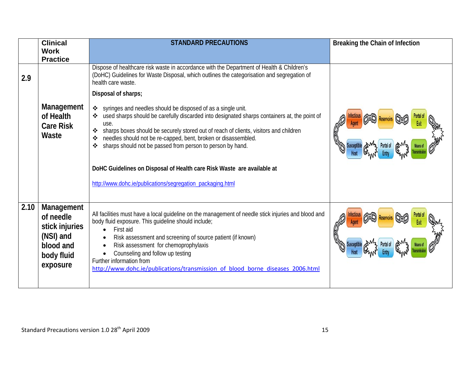|      | <b>Clinical</b><br><b>Work</b><br><b>Practice</b>                                             | <b>STANDARD PRECAUTIONS</b>                                                                                                                                                                                                                                                                                                                                                                                                                                                                                                                                 | Breaking the Chain of Infection |
|------|-----------------------------------------------------------------------------------------------|-------------------------------------------------------------------------------------------------------------------------------------------------------------------------------------------------------------------------------------------------------------------------------------------------------------------------------------------------------------------------------------------------------------------------------------------------------------------------------------------------------------------------------------------------------------|---------------------------------|
| 2.9  |                                                                                               | Dispose of healthcare risk waste in accordance with the Department of Health & Children's<br>(DoHC) Guidelines for Waste Disposal, which outlines the categorisation and segregation of<br>health care waste.                                                                                                                                                                                                                                                                                                                                               |                                 |
|      |                                                                                               | Disposal of sharps;                                                                                                                                                                                                                                                                                                                                                                                                                                                                                                                                         |                                 |
|      | Management<br>of Health<br><b>Care Risk</b><br>Waste                                          | syringes and needles should be disposed of as a single unit.<br>$\frac{1}{2}$<br>used sharps should be carefully discarded into designated sharps containers at, the point of<br>use.<br>sharps boxes should be securely stored out of reach of clients, visitors and children<br>❖<br>needles should not be re-capped, bent, broken or disassembled.<br>sharps should not be passed from person to person by hand.<br>DoHC Guidelines on Disposal of Health care Risk Waste are available at<br>http://www.dohc.ie/publications/segregation_packaging.html |                                 |
| 2.10 | Management<br>of needle<br>stick injuries<br>(NSI) and<br>blood and<br>body fluid<br>exposure | All facilities must have a local guideline on the management of needle stick injuries and blood and<br>body fluid exposure. This guideline should include;<br>First aid<br>Risk assessment and screening of source patient (if known)<br>Risk assessment for chemoprophylaxis<br>Counseling and follow up testing<br>Further information from<br>http://www.dohc.ie/publications/transmission of blood borne diseases 2006.html                                                                                                                             |                                 |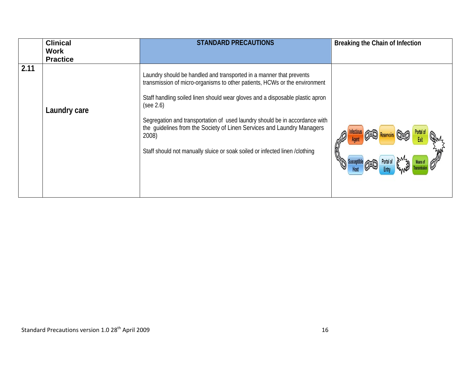|      | <b>Clinical</b><br>Work<br><b>Practice</b> | <b>STANDARD PRECAUTIONS</b>                                                                                                                                                                                                                                                                                                                                                                                                                                                                      | Breaking the Chain of Infection |
|------|--------------------------------------------|--------------------------------------------------------------------------------------------------------------------------------------------------------------------------------------------------------------------------------------------------------------------------------------------------------------------------------------------------------------------------------------------------------------------------------------------------------------------------------------------------|---------------------------------|
| 2.11 | Laundry care                               | Laundry should be handled and transported in a manner that prevents<br>transmission of micro-organisms to other patients, HCWs or the environment<br>Staff handling soiled linen should wear gloves and a disposable plastic apron<br>(see 2.6)<br>Segregation and transportation of used laundry should be in accordance with<br>the guidelines from the Society of Linen Services and Laundry Managers<br>2008)<br>Staff should not manually sluice or soak soiled or infected linen /clothing |                                 |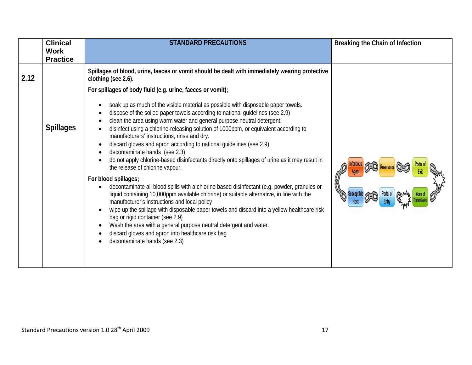|      | <b>Clinical</b>  | <b>STANDARD PRECAUTIONS</b>                                                                                                                                                                                                                                                                                                                                                                                                                                                                                                                                                                                                                                                                                                                                                                                                                                                                                                                                                                                                                                                                                                                                                                        | Breaking the Chain of Infection |
|------|------------------|----------------------------------------------------------------------------------------------------------------------------------------------------------------------------------------------------------------------------------------------------------------------------------------------------------------------------------------------------------------------------------------------------------------------------------------------------------------------------------------------------------------------------------------------------------------------------------------------------------------------------------------------------------------------------------------------------------------------------------------------------------------------------------------------------------------------------------------------------------------------------------------------------------------------------------------------------------------------------------------------------------------------------------------------------------------------------------------------------------------------------------------------------------------------------------------------------|---------------------------------|
|      | <b>Work</b>      |                                                                                                                                                                                                                                                                                                                                                                                                                                                                                                                                                                                                                                                                                                                                                                                                                                                                                                                                                                                                                                                                                                                                                                                                    |                                 |
|      | <b>Practice</b>  |                                                                                                                                                                                                                                                                                                                                                                                                                                                                                                                                                                                                                                                                                                                                                                                                                                                                                                                                                                                                                                                                                                                                                                                                    |                                 |
| 2.12 |                  | Spillages of blood, urine, faeces or vomit should be dealt with immediately wearing protective<br>clothing (see 2.6).                                                                                                                                                                                                                                                                                                                                                                                                                                                                                                                                                                                                                                                                                                                                                                                                                                                                                                                                                                                                                                                                              |                                 |
|      |                  | For spillages of body fluid (e.g. urine, faeces or vomit);                                                                                                                                                                                                                                                                                                                                                                                                                                                                                                                                                                                                                                                                                                                                                                                                                                                                                                                                                                                                                                                                                                                                         |                                 |
|      | <b>Spillages</b> | soak up as much of the visible material as possible with disposable paper towels.<br>dispose of the soiled paper towels according to national guidelines (see 2.9)<br>clean the area using warm water and general purpose neutral detergent.<br>disinfect using a chlorine-releasing solution of 1000ppm, or equivalent according to<br>manufacturers' instructions, rinse and dry.<br>discard gloves and apron according to national guidelines (see 2.9)<br>decontaminate hands (see 2.3)<br>do not apply chlorine-based disinfectants directly onto spillages of urine as it may result in<br>the release of chlorine vapour.<br>For blood spillages;<br>decontaminate all blood spills with a chlorine based disinfectant (e.g. powder, granules or<br>liquid containing 10,000ppm available chlorine) or suitable alternative, in line with the<br>manufacturer's instructions and local policy<br>wipe up the spillage with disposable paper towels and discard into a yellow healthcare risk<br>bag or rigid container (see 2.9)<br>Wash the area with a general purpose neutral detergent and water.<br>discard gloves and apron into healthcare risk bag<br>decontaminate hands (see 2.3) |                                 |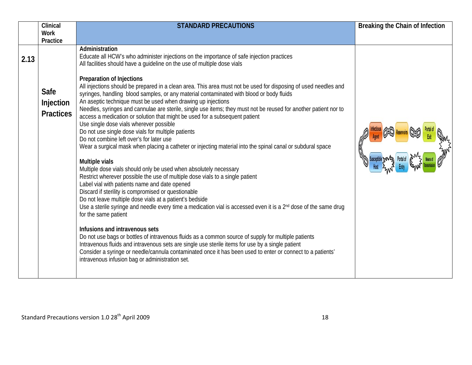|      | Clinical                                          | <b>STANDARD PRECAUTIONS</b>                                                                                                                                                                                                                                                                                                                                                                                                                                                                                                                                                                                                                                                                                                                                                                                                                                                                                                                                                                                                                                                                                                                                                                                                                                                                                                                                                                                                                         | Breaking the Chain of Infection |
|------|---------------------------------------------------|-----------------------------------------------------------------------------------------------------------------------------------------------------------------------------------------------------------------------------------------------------------------------------------------------------------------------------------------------------------------------------------------------------------------------------------------------------------------------------------------------------------------------------------------------------------------------------------------------------------------------------------------------------------------------------------------------------------------------------------------------------------------------------------------------------------------------------------------------------------------------------------------------------------------------------------------------------------------------------------------------------------------------------------------------------------------------------------------------------------------------------------------------------------------------------------------------------------------------------------------------------------------------------------------------------------------------------------------------------------------------------------------------------------------------------------------------------|---------------------------------|
|      | <b>Work</b>                                       |                                                                                                                                                                                                                                                                                                                                                                                                                                                                                                                                                                                                                                                                                                                                                                                                                                                                                                                                                                                                                                                                                                                                                                                                                                                                                                                                                                                                                                                     |                                 |
|      |                                                   |                                                                                                                                                                                                                                                                                                                                                                                                                                                                                                                                                                                                                                                                                                                                                                                                                                                                                                                                                                                                                                                                                                                                                                                                                                                                                                                                                                                                                                                     |                                 |
| 2.13 | Practice<br>Safe<br>Injection<br><b>Practices</b> | Administration<br>Educate all HCW's who administer injections on the importance of safe injection practices<br>All facilities should have a quideline on the use of multiple dose vials<br><b>Preparation of Injections</b><br>All injections should be prepared in a clean area. This area must not be used for disposing of used needles and<br>syringes, handling blood samples, or any material contaminated with blood or body fluids<br>An aseptic technique must be used when drawing up injections<br>Needles, syringes and cannulae are sterile, single use items; they must not be reused for another patient nor to<br>access a medication or solution that might be used for a subsequent patient<br>Use single dose vials wherever possible<br>Do not use single dose vials for multiple patients<br>Do not combine left over's for later use<br>Wear a surgical mask when placing a catheter or injecting material into the spinal canal or subdural space<br>Multiple vials<br>Multiple dose vials should only be used when absolutely necessary<br>Restrict wherever possible the use of multiple dose vials to a single patient<br>Label vial with patients name and date opened<br>Discard if sterility is compromised or questionable<br>Do not leave multiple dose vials at a patient's bedside<br>Use a sterile syringe and needle every time a medication vial is accessed even it is a 2 <sup>nd</sup> dose of the same drug |                                 |
|      |                                                   | for the same patient<br>Infusions and intravenous sets<br>Do not use bags or bottles of intravenous fluids as a common source of supply for multiple patients<br>Intravenous fluids and intravenous sets are single use sterile items for use by a single patient<br>Consider a syringe or needle/cannula contaminated once it has been used to enter or connect to a patients'<br>intravenous infusion bag or administration set.                                                                                                                                                                                                                                                                                                                                                                                                                                                                                                                                                                                                                                                                                                                                                                                                                                                                                                                                                                                                                  |                                 |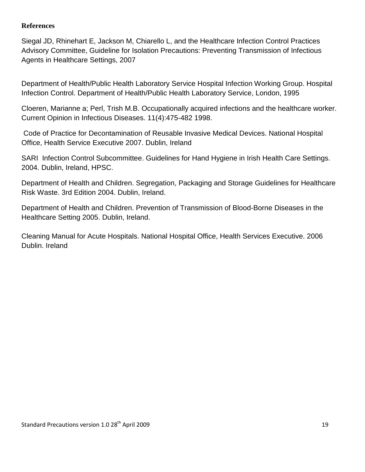#### **References**

Siegal JD, Rhinehart E, Jackson M, Chiarello L, and the Healthcare Infection Control Practices Advisory Committee, Guideline for Isolation Precautions: Preventing Transmission of Infectious Agents in Healthcare Settings, 2007

Department of Health/Public Health Laboratory Service Hospital Infection Working Group. Hospital Infection Control. Department of Health/Public Health Laboratory Service, London, 1995

Cloeren, Marianne a; Perl, Trish M.B. Occupationally acquired infections and the healthcare worker. Current Opinion in Infectious Diseases. 11(4):475-482 1998.

Code of Practice for Decontamination of Reusable Invasive Medical Devices. National Hospital Office, Health Service Executive 2007. Dublin, Ireland

SARI Infection Control Subcommittee. Guidelines for Hand Hygiene in Irish Health Care Settings. 2004. Dublin, Ireland, HPSC.

Department of Health and Children. Segregation, Packaging and Storage Guidelines for Healthcare Risk Waste. 3rd Edition 2004. Dublin, Ireland.

Department of Health and Children. Prevention of Transmission of Blood-Borne Diseases in the Healthcare Setting 2005. Dublin, Ireland.

Cleaning Manual for Acute Hospitals. National Hospital Office, Health Services Executive. 2006 Dublin. Ireland